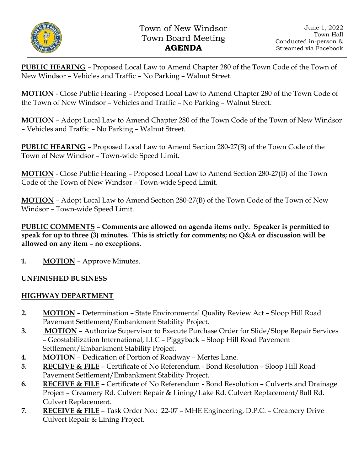

**PUBLIC HEARING** – Proposed Local Law to Amend Chapter 280 of the Town Code of the Town of New Windsor – Vehicles and Traffic – No Parking – Walnut Street.

**MOTION** - Close Public Hearing – Proposed Local Law to Amend Chapter 280 of the Town Code of the Town of New Windsor – Vehicles and Traffic – No Parking – Walnut Street.

**MOTION** – Adopt Local Law to Amend Chapter 280 of the Town Code of the Town of New Windsor – Vehicles and Traffic – No Parking – Walnut Street.

**PUBLIC HEARING** – Proposed Local Law to Amend Section 280-27(B) of the Town Code of the Town of New Windsor – Town-wide Speed Limit.

**MOTION** - Close Public Hearing – Proposed Local Law to Amend Section 280-27(B) of the Town Code of the Town of New Windsor – Town-wide Speed Limit.

**MOTION** – Adopt Local Law to Amend Section 280-27(B) of the Town Code of the Town of New Windsor – Town-wide Speed Limit.

**PUBLIC COMMENTS – Comments are allowed on agenda items only. Speaker is permitted to speak for up to three (3) minutes. This is strictly for comments; no Q&A or discussion will be allowed on any item – no exceptions.**

**1. MOTION** – Approve Minutes.

# **UNFINISHED BUSINESS**

## **HIGHWAY DEPARTMENT**

- **2. MOTION** Determination State Environmental Quality Review Act Sloop Hill Road Pavement Settlement/Embankment Stability Project.
- **3. MOTION** Authorize Supervisor to Execute Purchase Order for Slide/Slope Repair Services – Geostabilization International, LLC – Piggyback – Sloop Hill Road Pavement Settlement/Embankment Stability Project.
- **4. MOTION** Dedication of Portion of Roadway Mertes Lane.
- **5. RECEIVE & FILE** Certificate of No Referendum Bond Resolution Sloop Hill Road Pavement Settlement/Embankment Stability Project.
- **6. RECEIVE & FILE** Certificate of No Referendum Bond Resolution Culverts and Drainage Project – Creamery Rd. Culvert Repair & Lining/Lake Rd. Culvert Replacement/Bull Rd. Culvert Replacement.
- **7. RECEIVE & FILE** Task Order No.: 22-07 MHE Engineering, D.P.C. Creamery Drive Culvert Repair & Lining Project.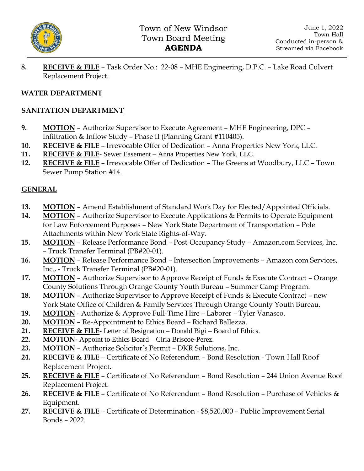

**8. RECEIVE & FILE** – Task Order No.: 22-08 – MHE Engineering, D.P.C. – Lake Road Culvert Replacement Project.

## **WATER DEPARTMENT**

### **SANITATION DEPARTMENT**

- **9. MOTION** Authorize Supervisor to Execute Agreement MHE Engineering, DPC Infiltration & Inflow Study – Phase II (Planning Grant #110405).
- **10. RECEIVE & FILE**  Irrevocable Offer of Dedication Anna Properties New York, LLC.
- **11. RECEIVE & FILE** Sewer Easement Anna Properties New York, LLC.
- **12. RECEIVE & FILE** Irrevocable Offer of Dedication The Greens at Woodbury, LLC Town Sewer Pump Station #14.

## **GENERAL**

- **13. MOTION** Amend Establishment of Standard Work Day for Elected/Appointed Officials.
- **14. MOTION** Authorize Supervisor to Execute Applications & Permits to Operate Equipment for Law Enforcement Purposes – New York State Department of Transportation – Pole Attachments within New York State Rights-of-Way.
- **15. MOTION** Release Performance Bond Post-Occupancy Study Amazon.com Services, Inc. – Truck Transfer Terminal (PB#20-01).
- **16. MOTION** Release Performance Bond Intersection Improvements Amazon.com Services, Inc., - Truck Transfer Terminal (PB#20-01).
- **17. MOTION** Authorize Supervisor to Approve Receipt of Funds & Execute Contract Orange County Solutions Through Orange County Youth Bureau – Summer Camp Program.
- **18. MOTION** Authorize Supervisor to Approve Receipt of Funds & Execute Contract new York State Office of Children & Family Services Through Orange County Youth Bureau.
- **19. MOTION** Authorize & Approve Full-Time Hire Laborer Tyler Vanasco.
- **20. MOTION –** Re-Appointment to Ethics Board Richard Ballezza.
- **21. RECEIVE & FILE** Letter of Resignation Donald Bigi Board of Ethics.
- **22. MOTION-** Appoint to Ethics Board Ciria Briscoe-Perez.
- **23. MOTION** Authorize Solicitor's Permit DKR Solutions, Inc.
- **24. RECEIVE & FILE** Certificate of No Referendum Bond Resolution Town Hall Roof Replacement Project.
- **25. RECEIVE & FILE** Certificate of No Referendum Bond Resolution 244 Union Avenue Roof Replacement Project.
- **26. RECEIVE & FILE** Certificate of No Referendum Bond Resolution Purchase of Vehicles & Equipment.
- **27. RECEIVE & FILE** Certificate of Determination \$8,520,000 Public Improvement Serial Bonds – 2022.